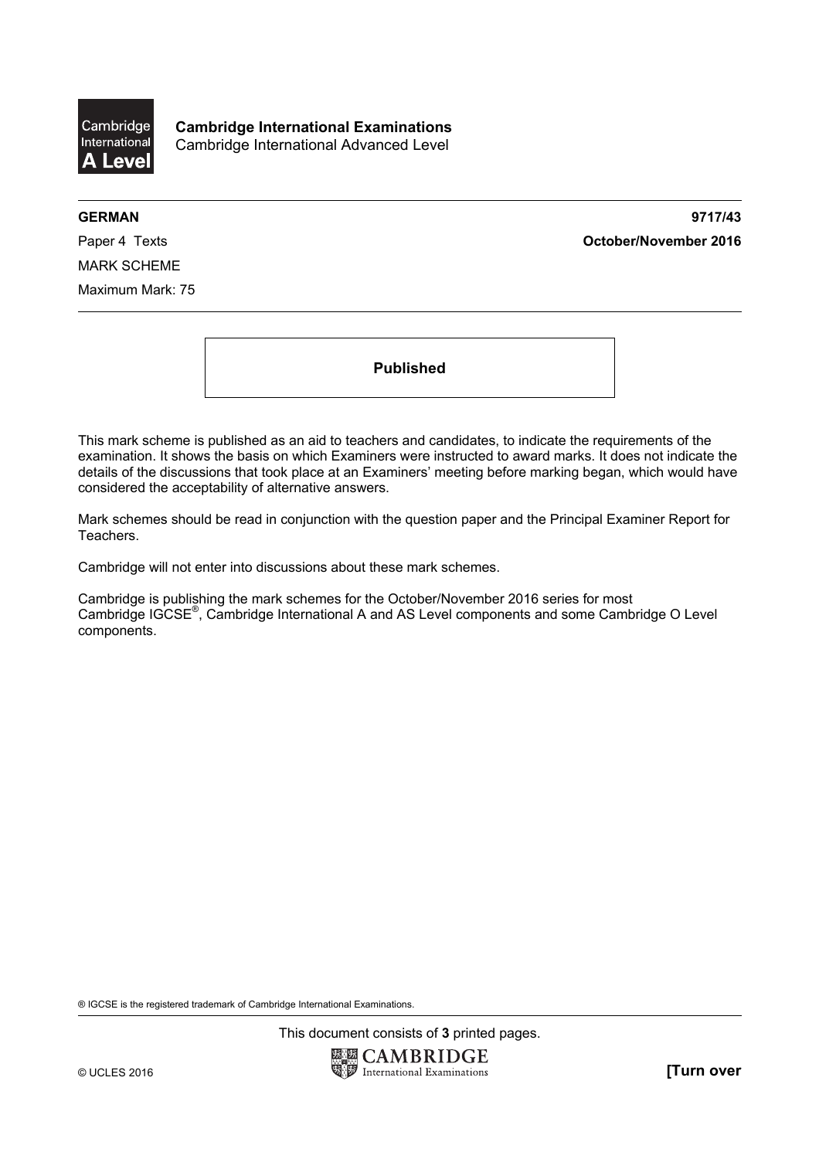

**Cambridge International Examinations**  Cambridge International Advanced Level

**GERMAN 9717/43**  Paper 4 Texts **October/November 2016**

MARK SCHEME Maximum Mark: 75

**Published** 

This mark scheme is published as an aid to teachers and candidates, to indicate the requirements of the examination. It shows the basis on which Examiners were instructed to award marks. It does not indicate the details of the discussions that took place at an Examiners' meeting before marking began, which would have considered the acceptability of alternative answers.

Mark schemes should be read in conjunction with the question paper and the Principal Examiner Report for Teachers.

Cambridge will not enter into discussions about these mark schemes.

Cambridge is publishing the mark schemes for the October/November 2016 series for most Cambridge IGCSE<sup>®</sup>, Cambridge International A and AS Level components and some Cambridge O Level components.

® IGCSE is the registered trademark of Cambridge International Examinations.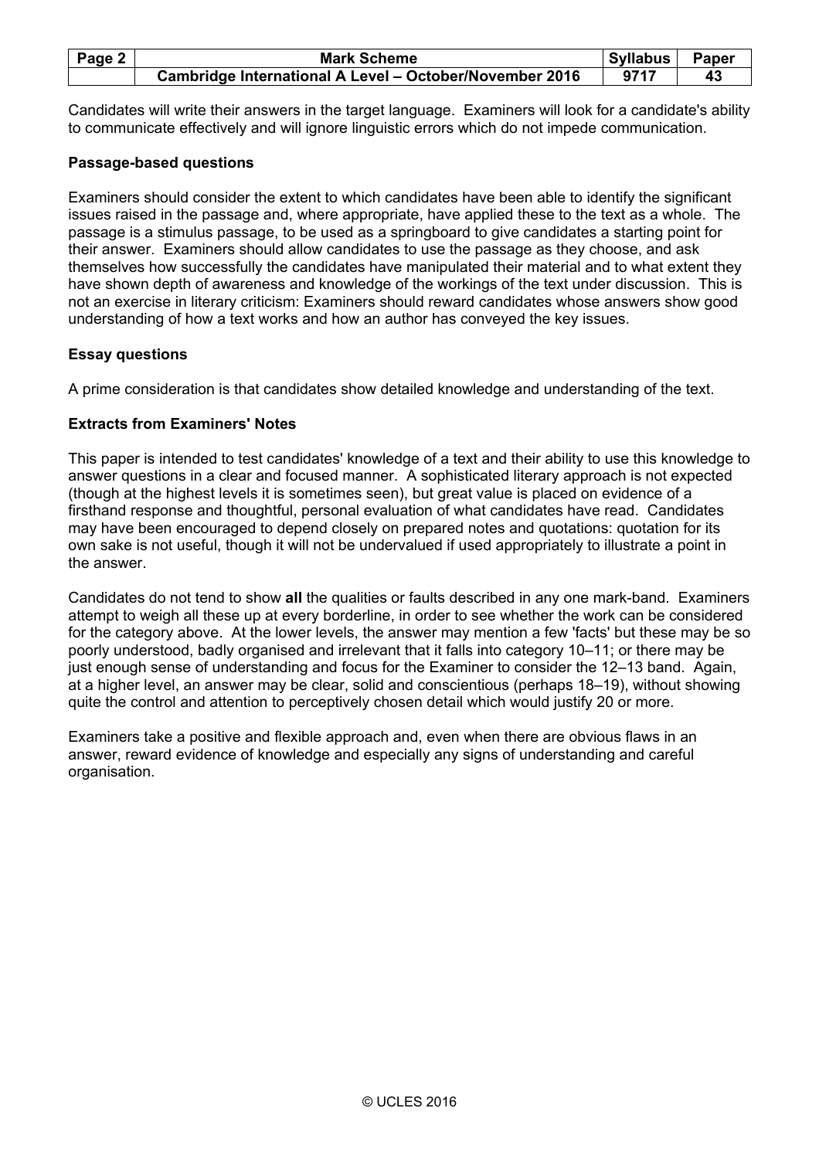| Page 2 | <b>Mark Scheme</b>                                      | Syllabus | Paper |
|--------|---------------------------------------------------------|----------|-------|
|        | Cambridge International A Level - October/November 2016 | 9717     |       |

Candidates will write their answers in the target language. Examiners will look for a candidate's ability to communicate effectively and will ignore linguistic errors which do not impede communication.

## **Passage-based questions**

Examiners should consider the extent to which candidates have been able to identify the significant issues raised in the passage and, where appropriate, have applied these to the text as a whole. The passage is a stimulus passage, to be used as a springboard to give candidates a starting point for their answer. Examiners should allow candidates to use the passage as they choose, and ask themselves how successfully the candidates have manipulated their material and to what extent they have shown depth of awareness and knowledge of the workings of the text under discussion. This is not an exercise in literary criticism: Examiners should reward candidates whose answers show good understanding of how a text works and how an author has conveyed the key issues.

## **Essay questions**

A prime consideration is that candidates show detailed knowledge and understanding of the text.

## **Extracts from Examiners' Notes**

This paper is intended to test candidates' knowledge of a text and their ability to use this knowledge to answer questions in a clear and focused manner. A sophisticated literary approach is not expected (though at the highest levels it is sometimes seen), but great value is placed on evidence of a firsthand response and thoughtful, personal evaluation of what candidates have read. Candidates may have been encouraged to depend closely on prepared notes and quotations: quotation for its own sake is not useful, though it will not be undervalued if used appropriately to illustrate a point in the answer.

Candidates do not tend to show **all** the qualities or faults described in any one mark-band. Examiners attempt to weigh all these up at every borderline, in order to see whether the work can be considered for the category above. At the lower levels, the answer may mention a few 'facts' but these may be so poorly understood, badly organised and irrelevant that it falls into category 10–11; or there may be just enough sense of understanding and focus for the Examiner to consider the 12–13 band. Again, at a higher level, an answer may be clear, solid and conscientious (perhaps 18–19), without showing quite the control and attention to perceptively chosen detail which would justify 20 or more.

Examiners take a positive and flexible approach and, even when there are obvious flaws in an answer, reward evidence of knowledge and especially any signs of understanding and careful organisation.